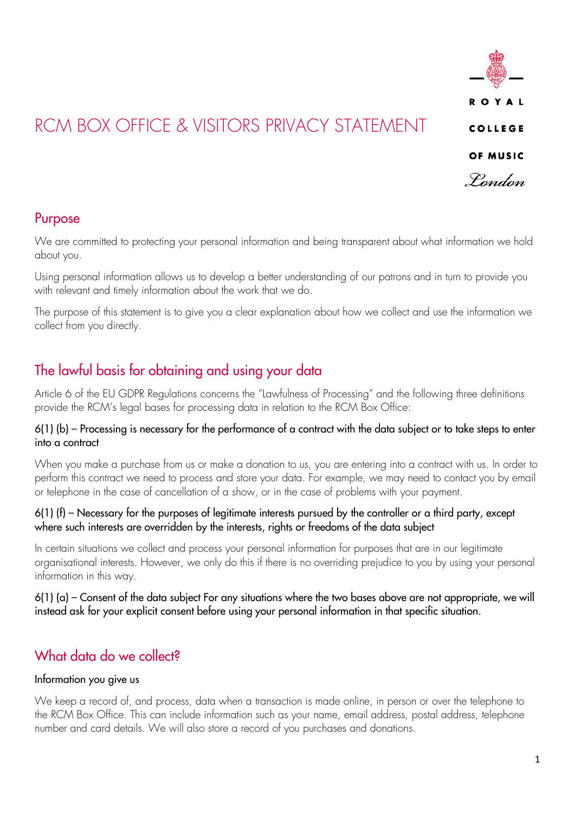

## Purpose

We are committed to protecting your personal information and being transparent about what information we hold about you.

Using personal information allows us to develop a better understanding of our patrons and in turn to provide you with relevant and timely information about the work that we do.

The purpose of this statement is to give you a clear explanation about how we collect and use the information we collect from you directly.

# The lawful basis for obtaining and using your data

Article 6 of the EU GDPR Regulations concerns the "Lawfulness of Processing" and the following three definitions provide the RCM's legal bases for processing data in relation to the RCM Box Office:

### 6(1) (b) – Processing is necessary for the performance of a contract with the data subject or to take steps to enter into a contract

When you make a purchase from us or make a donation to us, you are entering into a contract with us. In order to perform this contract we need to process and store your data. For example, we may need to contact you by email or telephone in the case of cancellation of a show, or in the case of problems with your payment.

### $6(1)$  (f) – Necessary for the purposes of legitimate interests pursued by the controller or a third party, except where such interests are overridden by the interests, rights or freedoms of the data subject

In certain situations we collect and process your personal information for purposes that are in our legitimate organisational interests. However, we only do this if there is no overriding prejudice to you by using your personal information in this way.

6(1) (a) – Consent of the data subject For any situations where the two bases above are not appropriate, we will instead ask for your explicit consent before using your personal information in that specific situation.

# What data do we collect?

## Information you give us

We keep a record of, and process, data when a transaction is made online, in person or over the telephone to the RCM Box Office. This can include information such as your name, email address, postal address, telephone number and card details. We will also store a record of you purchases and donations.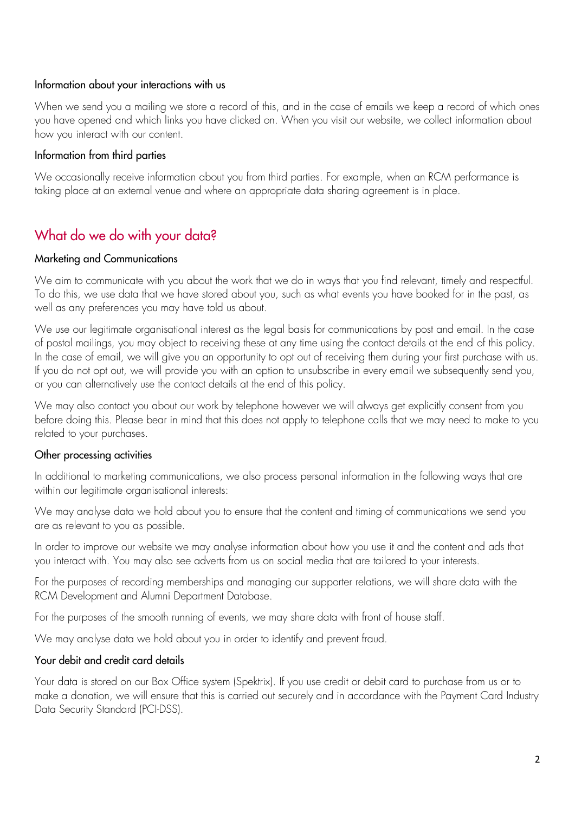#### Information about your interactions with us

When we send you a mailing we store a record of this, and in the case of emails we keep a record of which ones you have opened and which links you have clicked on. When you visit our website, we collect information about how you interact with our content.

#### Information from third parties

We occasionally receive information about you from third parties. For example, when an RCM performance is taking place at an external venue and where an appropriate data sharing agreement is in place.

# What do we do with your data?

#### Marketing and Communications

We aim to communicate with you about the work that we do in ways that you find relevant, timely and respectful. To do this, we use data that we have stored about you, such as what events you have booked for in the past, as well as any preferences you may have told us about.

We use our legitimate organisational interest as the legal basis for communications by post and email. In the case of postal mailings, you may object to receiving these at any time using the contact details at the end of this policy. In the case of email, we will give you an opportunity to opt out of receiving them during your first purchase with us. If you do not opt out, we will provide you with an option to unsubscribe in every email we subsequently send you, or you can alternatively use the contact details at the end of this policy.

We may also contact you about our work by telephone however we will always get explicitly consent from you before doing this. Please bear in mind that this does not apply to telephone calls that we may need to make to you related to your purchases.

#### Other processing activities

In additional to marketing communications, we also process personal information in the following ways that are within our legitimate organisational interests:

We may analyse data we hold about you to ensure that the content and timing of communications we send you are as relevant to you as possible.

In order to improve our website we may analyse information about how you use it and the content and ads that you interact with. You may also see adverts from us on social media that are tailored to your interests.

For the purposes of recording memberships and managing our supporter relations, we will share data with the RCM Development and Alumni Department Database.

For the purposes of the smooth running of events, we may share data with front of house staff.

We may analyse data we hold about you in order to identify and prevent fraud.

#### Your debit and credit card details

Your data is stored on our Box Office system (Spektrix). If you use credit or debit card to purchase from us or to make a donation, we will ensure that this is carried out securely and in accordance with the Payment Card Industry Data Security Standard (PCI-DSS).